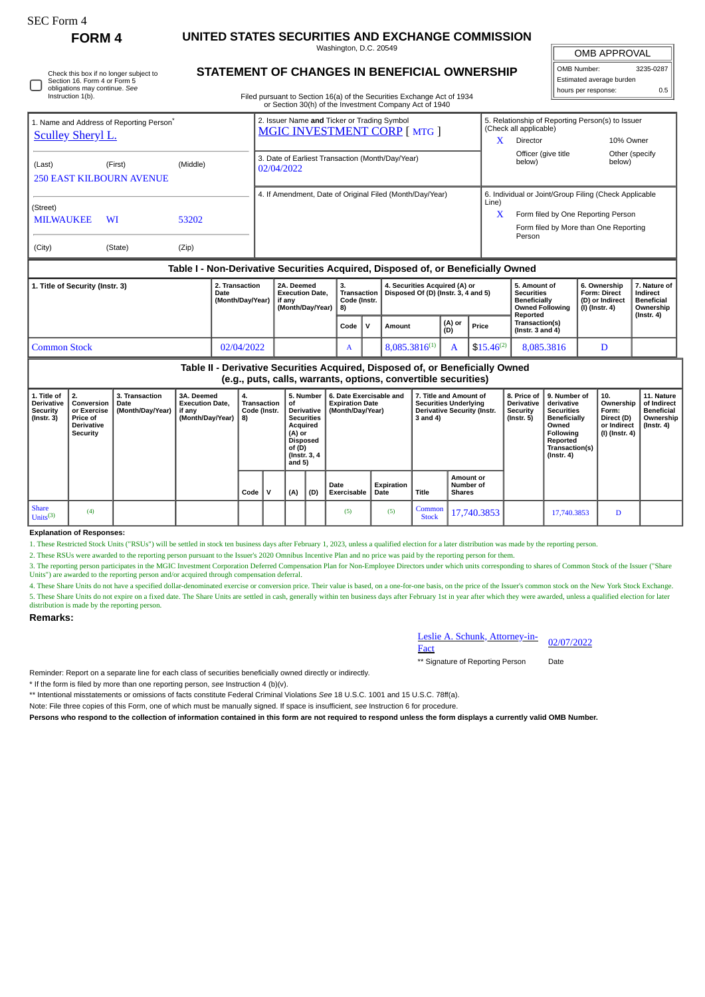## **FORM 4 UNITED STATES SECURITIES AND EXCHANGE COMMISSION**

Washington, D.C. 20549

OMB APPROVAL

 $\parallel$ 

| OMB Number:              | 3235-0287 |
|--------------------------|-----------|
| Estimated average burden |           |
| hours per response:      | ሰ 5       |

Check this box if no longer subject to Section 16. Form 4 or Form 5 obligations may continue. *See* Instruction 1(b).

## **STATEMENT OF CHANGES IN BENEFICIAL OWNERSHIP**

Filed pursuant to Section 16(a) of the Securities Exchange Act of 1934 or Section 30(h) of the Investment Company Act of 1940

| 1. Name and Address of Reporting Person <sup>®</sup><br><b>Sculley Sheryl L.</b> |         |          |                                            | 2. Issuer Name and Ticker or Trading Symbol<br><b>MGIC INVESTMENT CORP [MTG ]</b> |                                                |        |                                                                      |       | 5. Relationship of Reporting Person(s) to Issuer<br>(Check all applicable) |                                                                                         |                                                                          |                                                                                |  |  |
|----------------------------------------------------------------------------------|---------|----------|--------------------------------------------|-----------------------------------------------------------------------------------|------------------------------------------------|--------|----------------------------------------------------------------------|-------|----------------------------------------------------------------------------|-----------------------------------------------------------------------------------------|--------------------------------------------------------------------------|--------------------------------------------------------------------------------|--|--|
|                                                                                  |         |          |                                            |                                                                                   |                                                |        |                                                                      | x     | <b>Director</b>                                                            | 10% Owner                                                                               |                                                                          |                                                                                |  |  |
| (Last)<br><b>250 EAST KILBOURN AVENUE</b>                                        | (First) | (Middle) |                                            | 3. Date of Earliest Transaction (Month/Day/Year)<br>02/04/2022                    |                                                |        |                                                                      |       | Officer (give title<br>below)                                              | below)                                                                                  | Other (specify                                                           |                                                                                |  |  |
|                                                                                  |         |          |                                            | 4. If Amendment, Date of Original Filed (Month/Day/Year)                          |                                                |        |                                                                      |       |                                                                            | 6. Individual or Joint/Group Filing (Check Applicable                                   |                                                                          |                                                                                |  |  |
| (Street)                                                                         |         |          |                                            |                                                                                   |                                                |        |                                                                      | Line) |                                                                            |                                                                                         |                                                                          |                                                                                |  |  |
| <b>MILWAUKEE</b>                                                                 |         |          |                                            |                                                                                   |                                                | X      | Form filed by One Reporting Person                                   |       |                                                                            |                                                                                         |                                                                          |                                                                                |  |  |
|                                                                                  |         |          |                                            |                                                                                   |                                                |        |                                                                      |       | Form filed by More than One Reporting<br>Person                            |                                                                                         |                                                                          |                                                                                |  |  |
| (City)                                                                           | (State) | (Zip)    |                                            |                                                                                   |                                                |        |                                                                      |       |                                                                            |                                                                                         |                                                                          |                                                                                |  |  |
| Table I - Non-Derivative Securities Acquired, Disposed of, or Beneficially Owned |         |          |                                            |                                                                                   |                                                |        |                                                                      |       |                                                                            |                                                                                         |                                                                          |                                                                                |  |  |
| 1. Title of Security (Instr. 3)                                                  |         |          | 2. Transaction<br>Date<br>(Month/Day/Year) | 2A. Deemed<br><b>Execution Date.</b><br>if any<br>(Month/Day/Year)                | 3.<br><b>Transaction</b><br>Code (Instr.<br>8) |        | 4. Securities Acquired (A) or<br>Disposed Of (D) (Instr. 3, 4 and 5) |       |                                                                            | 5. Amount of<br><b>Securities</b><br>Beneficially<br><b>Owned Following</b><br>Reported | 6. Ownership<br><b>Form: Direct</b><br>(D) or Indirect<br>(I) (Instr. 4) | 7. Nature of<br>Indirect<br><b>Beneficial</b><br>Ownership<br>$($ lnstr. 4 $)$ |  |  |
|                                                                                  |         |          |                                            | Code                                                                              | $\mathsf{v}$                                   | Amount | (A) or<br>(D)                                                        | Price | Transaction(s)<br>(Instr. $3$ and $4$ )                                    |                                                                                         |                                                                          |                                                                                |  |  |

Common Stock **12/02/04/2022 A 8,085.3816<sup>(1)</sup> A 8,085.3816<sup>(1)</sup> A 8,085.3816 D Table II - Derivative Securities Acquired, Disposed of, or Beneficially Owned**

**(e.g., puts, calls, warrants, options, convertible securities)**

|                                                                  | laidii baral aanal marramal abrianal aanisaraala aadamnad l                   |                                    |                                                                    |                                         |  |                                                                                                                                    |     |                                                                       |                    |                                                                                                          |                                                |                                                              |                                                                                                                                          |                                                                            |                                                                           |
|------------------------------------------------------------------|-------------------------------------------------------------------------------|------------------------------------|--------------------------------------------------------------------|-----------------------------------------|--|------------------------------------------------------------------------------------------------------------------------------------|-----|-----------------------------------------------------------------------|--------------------|----------------------------------------------------------------------------------------------------------|------------------------------------------------|--------------------------------------------------------------|------------------------------------------------------------------------------------------------------------------------------------------|----------------------------------------------------------------------------|---------------------------------------------------------------------------|
| 1. Title of<br><b>Derivative</b><br>Security<br>$($ Instr. 3 $)$ | Conversion   Date<br>or Exercise<br>Price of<br><b>Derivative</b><br>Security | 3. Transaction<br>(Month/Day/Year) | 3A. Deemed<br><b>Execution Date,</b><br>if any<br>(Month/Day/Year) | 4.<br>Transaction<br>Code (Instr.<br>8) |  | 5. Number<br>οf<br>Derivative<br><b>Securities</b><br>Acquired<br>(A) or<br><b>Disposed</b><br>of (D)<br>(Instr. 3, 4)<br>and $5)$ |     | 6. Date Exercisable and<br><b>Expiration Date</b><br>(Month/Day/Year) |                    | 7. Title and Amount of<br><b>Securities Underlying</b><br><b>Derivative Security (Instr.</b><br>3 and 4) |                                                | 8. Price of I<br><b>Derivative</b><br>Security<br>(Instr. 5) | 9. Number of<br>derivative<br><b>Securities</b><br><b>Beneficially</b><br>Owned<br>Following<br>Reported<br>Transaction(s)<br>(Instr. 4) | 10.<br>Ownership<br>Form:<br>Direct (D)<br>or Indirect<br>  (I) (Instr. 4) | 11. Nature<br>of Indirect<br><b>Beneficial</b><br>Ownership<br>(Instr. 4) |
|                                                                  |                                                                               |                                    |                                                                    | Code   V                                |  | (A)                                                                                                                                | (D) | Date<br>Exercisable                                                   | Expiration<br>Date | Title                                                                                                    | <b>Amount or</b><br>Number of<br><b>Shares</b> |                                                              |                                                                                                                                          |                                                                            |                                                                           |
| <b>Share</b><br>Units <sup>(3)</sup>                             | (4)                                                                           |                                    |                                                                    |                                         |  |                                                                                                                                    |     | (5)                                                                   | (5)                | Common<br><b>Stock</b>                                                                                   | 17,740.3853                                    |                                                              | 17,740.3853                                                                                                                              | D                                                                          |                                                                           |

## **Explanation of Responses:**

1. These Restricted Stock Units ("RSUs") will be settled in stock ten business days after February 1, 2023, unless a qualified election for a later distribution was made by the reporting person.

2. These RSUs were awarded to the reporting person pursuant to the Issuer's 2020 Omnibus Incentive Plan and no price was paid by the reporting person for them.

3. The reporting person participates in the MGIC Investment Corporation Deferred Compensation Plan for Non-Employee Directors under which units corresponding to shares of Common Stock of the Issuer ("Share<br>Units") are awar

4. These Share Units do not have a specified dollar-denominated exercise or conversion price. Their value is based, on a one-for-one basis, on the price of the Issuer's common stock on the New York Stock Exchange. 5. These Share Units do not expire on a fixed date. The Share Units are settled in cash, generally within ten business days after February 1st in year after which they were awarded, unless a qualified election for later<br>di

## **Remarks:**

Leslie A. Schunk, Attorney-in-Elesiie A. Schunk, Attorney-in-<br>Fact 02/07/2022

\*\* Signature of Reporting Person Date

Reminder: Report on a separate line for each class of securities beneficially owned directly or indirectly.

\* If the form is filed by more than one reporting person, *see* Instruction 4 (b)(v).

\*\* Intentional misstatements or omissions of facts constitute Federal Criminal Violations *See* 18 U.S.C. 1001 and 15 U.S.C. 78ff(a).

Note: File three copies of this Form, one of which must be manually signed. If space is insufficient, *see* Instruction 6 for procedure.

**Persons who respond to the collection of information contained in this form are not required to respond unless the form displays a currently valid OMB Number.**